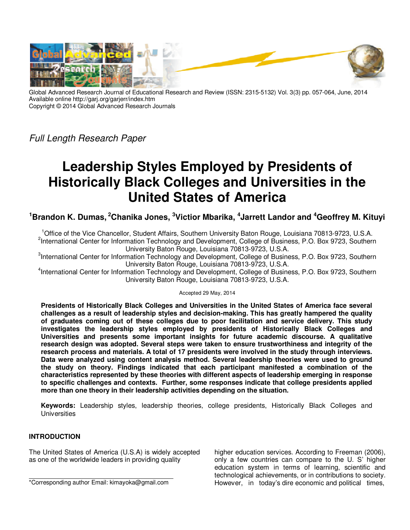

Global Advanced Research Journal of Educational Research and Review (ISSN: 2315-5132) Vol. 3(3) pp. 057-064, June, 2014 Available online http://garj.org/garjerr/index.htm Copyright © 2014 Global Advanced Research Journals

Full Length Research Paper

# **Leadership Styles Employed by Presidents of Historically Black Colleges and Universities in the United States of America**

**<sup>1</sup>Brandon K. Dumas,<sup>2</sup>Chanika Jones, <sup>3</sup>Victior Mbarika, <sup>4</sup> Jarrett Landor and <sup>4</sup>Geoffrey M. Kituyi**

<sup>1</sup>Office of the Vice Chancellor, Student Affairs, Southern University Baton Rouge, Louisiana 70813-9723, U.S.A. <sup>2</sup>International Center for Information Technology and Development, College of Business, P.O. Box 9723, Southern University Baton Rouge, Louisiana 70813-9723, U.S.A.

<sup>3</sup>International Center for Information Technology and Development, College of Business, P.O. Box 9723, Southern University Baton Rouge, Louisiana 70813-9723, U.S.A.

4 International Center for Information Technology and Development, College of Business, P.O. Box 9723, Southern University Baton Rouge, Louisiana 70813-9723, U.S.A.

Accepted 29 May, 2014

**Presidents of Historically Black Colleges and Universities in the United States of America face several challenges as a result of leadership styles and decision-making. This has greatly hampered the quality of graduates coming out of these colleges due to poor facilitation and service delivery. This study investigates the leadership styles employed by presidents of Historically Black Colleges and Universities and presents some important insights for future academic discourse. A qualitative research design was adopted. Several steps were taken to ensure trustworthiness and integrity of the research process and materials. A total of 17 presidents were involved in the study through interviews. Data were analyzed using content analysis method. Several leadership theories were used to ground the study on theory. Findings indicated that each participant manifested a combination of the characteristics represented by these theories with different aspects of leadership emerging in response to specific challenges and contexts. Further, some responses indicate that college presidents applied more than one theory in their leadership activities depending on the situation.** 

**Keywords:** Leadership styles, leadership theories, college presidents, Historically Black Colleges and **Universities** 

# **INTRODUCTION**

The United States of America (U.S.A) is widely accepted as one of the worldwide leaders in providing quality

higher education services. According to Freeman (2006), only a few countries can compare to the U. S' higher education system in terms of learning, scientific and technological achievements, or in contributions to society. However, in today's dire economic and political times,

<sup>\*</sup>Corresponding author Email: kimayoka@gmail.com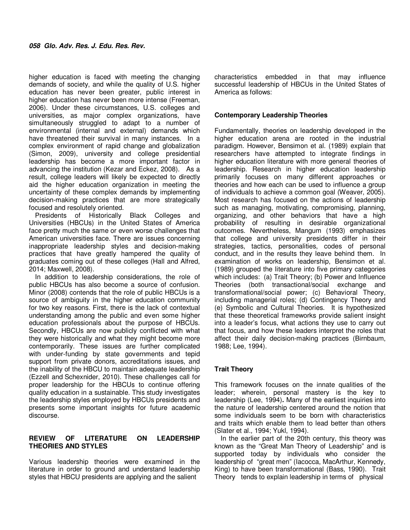higher education is faced with meeting the changing demands of society, and while the quality of U.S. higher education has never been greater, public interest in higher education has never been more intense (Freeman, 2006). Under these circumstances, U.S. colleges and universities, as major complex organizations, have simultaneously struggled to adapt to a number of environmental (internal and external) demands which have threatened their survival in many instances. In a complex environment of rapid change and globalization (Simon, 2009), university and college presidential leadership has become a more important factor in advancing the institution (Kezar and Eckez, 2008). As a result, college leaders will likely be expected to directly aid the higher education organization in meeting the uncertainty of these complex demands by implementing decision-making practices that are more strategically focused and resolutely oriented.

Presidents of Historically Black Colleges and Universities (HBCUs) in the United States of America face pretty much the same or even worse challenges that American universities face. There are issues concerning inappropriate leadership styles and decision-making practices that have greatly hampered the quality of graduates coming out of these colleges (Hall and Alfred, 2014; Maxwell, 2008).

In addition to leadership considerations, the role of public HBCUs has also become a source of confusion. Minor (2008) contends that the role of public HBCUs is a source of ambiguity in the higher education community for two key reasons. First, there is the lack of contextual understanding among the public and even some higher education professionals about the purpose of HBCUs. Secondly, HBCUs are now publicly conflicted with what they were historically and what they might become more contemporarily. These issues are further complicated with under-funding by state governments and tepid support from private donors, accreditations issues, and the inability of the HBCU to maintain adequate leadership (Ezzell and Schexnider, 2010). These challenges call for proper leadership for the HBCUs to continue offering quality education in a sustainable. This study investigates the leadership styles employed by HBCUs presidents and presents some important insights for future academic discourse.

### **REVIEW OF LITERATURE ON LEADERSHIP THEORIES AND STYLES**

Various leadership theories were examined in the literature in order to ground and understand leadership styles that HBCU presidents are applying and the salient

characteristics embedded in that may influence successful leadership of HBCUs in the United States of America as follows:

#### **Contemporary Leadership Theories**

Fundamentally, theories on leadership developed in the higher education arena are rooted in the industrial paradigm. However, Bensimon et al. (1989) explain that researchers have attempted to integrate findings in higher education literature with more general theories of leadership. Research in higher education leadership primarily focuses on many different approaches or theories and how each can be used to influence a group of individuals to achieve a common goal (Weaver, 2005). Most research has focused on the actions of leadership such as managing, motivating, compromising, planning, organizing, and other behaviors that have a high probability of resulting in desirable organizational outcomes. Nevertheless, Mangum (1993) emphasizes that college and university presidents differ in their strategies, tactics, personalities, codes of personal conduct, and in the results they leave behind them. In examination of works on leadership, Bensimon et al. (1989) grouped the literature into five primary categories which includes: (a) Trait Theory; (b) Power and Influence Theories (both transactional/social exchange and transformational/social power; (c) Behavioral Theory, including managerial roles; (d) Contingency Theory and (e) Symbolic and Cultural Theories. It is hypothesized that these theoretical frameworks provide salient insight into a leader's focus, what actions they use to carry out that focus, and how these leaders interpret the roles that affect their daily decision-making practices (Birnbaum, 1988; Lee, 1994).

#### **Trait Theory**

This framework focuses on the innate qualities of the leader; wherein, personal mastery is the key to leadership (Lee, 1994)**.** Many of the earliest inquiries into the nature of leadership centered around the notion that some individuals seem to be born with characteristics and traits which enable them to lead better than others (Slater et al., 1994; Yukl, 1994).

In the earlier part of the 20th century, this theory was known as the "Great Man Theory of Leadership" and is supported today by individuals who consider the leadership of "great men" (Iacocca, MacArthur, Kennedy, King) to have been transformational (Bass, 1990). Trait Theory tends to explain leadership in terms of physical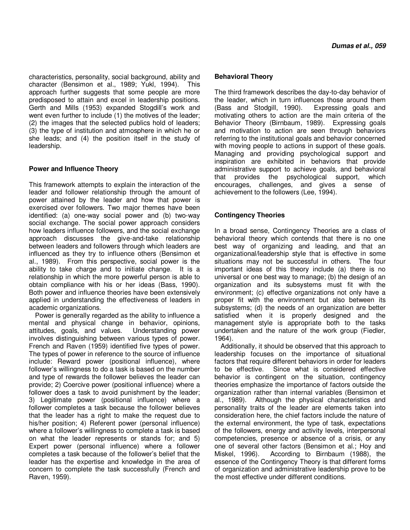characteristics, personality, social background, ability and character (Bensimon et al., 1989; Yukl, 1994). This approach further suggests that some people are more predisposed to attain and excel in leadership positions. Gerth and Mills (1953) expanded Stogdill's work and went even further to include (1) the motives of the leader; (2) the images that the selected publics hold of leaders; (3) the type of institution and atmosphere in which he or she leads; and (4) the position itself in the study of leadership.

### **Power and Influence Theory**

This framework attempts to explain the interaction of the leader and follower relationship through the amount of power attained by the leader and how that power is exercised over followers. Two major themes have been identified: (a) one-way social power and (b) two-way social exchange. The social power approach considers how leaders influence followers, and the social exchange approach discusses the give-and-take relationship between leaders and followers through which leaders are influenced as they try to influence others (Bensimon et al., 1989). From this perspective, social power is the ability to take charge and to initiate change. It is a relationship in which the more powerful person is able to obtain compliance with his or her ideas (Bass, 1990). Both power and influence theories have been extensively applied in understanding the effectiveness of leaders in academic organizations.

Power is generally regarded as the ability to influence a mental and physical change in behavior, opinions, attitudes, goals, and values. Understanding power involves distinguishing between various types of power. French and Raven (1959) identified five types of power. The types of power in reference to the source of influence include: Reward power (positional influence), where follower's willingness to do a task is based on the number and type of rewards the follower believes the leader can provide; 2) Coercive power (positional influence) where a follower does a task to avoid punishment by the leader; 3) Legitimate power (positional influence) where a follower completes a task because the follower believes that the leader has a right to make the request due to his/her position; 4) Referent power (personal influence) where a follower's willingness to complete a task is based on what the leader represents or stands for; and 5) Expert power (personal influence) where a follower completes a task because of the follower's belief that the leader has the expertise and knowledge in the area of concern to complete the task successfully (French and Raven, 1959).

#### **Behavioral Theory**

The third framework describes the day-to-day behavior of the leader, which in turn influences those around them (Bass and Stodgill, 1990). Expressing goals and motivating others to action are the main criteria of the Behavior Theory (Birnbaum, 1989). Expressing goals and motivation to action are seen through behaviors referring to the institutional goals and behavior concerned with moving people to actions in support of these goals. Managing and providing psychological support and inspiration are exhibited in behaviors that provide administrative support to achieve goals, and behavioral that provides the psychological support, which encourages, challenges, and gives a sense of achievement to the followers (Lee, 1994).

### **Contingency Theories**

In a broad sense, Contingency Theories are a class of behavioral theory which contends that there is no one best way of organizing and leading, and that an organizational/leadership style that is effective in some situations may not be successful in others. The four important ideas of this theory include (a) there is no universal or one best way to manage; (b) the design of an organization and its subsystems must fit with the environment; (c) effective organizations not only have a proper fit with the environment but also between its subsystems; (d) the needs of an organization are better satisfied when it is properly designed and the management style is appropriate both to the tasks undertaken and the nature of the work group (Fiedler, 1964).

Additionally, it should be observed that this approach to leadership focuses on the importance of situational factors that require different behaviors in order for leaders to be effective. Since what is considered effective behavior is contingent on the situation, contingency theories emphasize the importance of factors outside the organization rather than internal variables (Bensimon et al., 1989). Although the physical characteristics and personality traits of the leader are elements taken into consideration here, the chief factors include the nature of the external environment, the type of task, expectations of the followers, energy and activity levels, interpersonal competencies, presence or absence of a crisis, or any one of several other factors (Bensimon et al.; Hoy and Miskel, 1996). According to Birnbaum (1988), the essence of the Contingency Theory is that different forms of organization and administrative leadership prove to be the most effective under different conditions.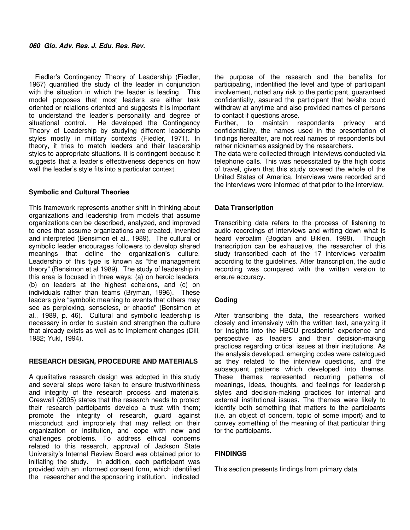Fiedler's Contingency Theory of Leadership (Fiedler, 1967) quantified the study of the leader in conjunction with the situation in which the leader is leading. This model proposes that most leaders are either task oriented or relations oriented and suggests it is important to understand the leader's personality and degree of situational control. He developed the Contingency Theory of Leadership by studying different leadership styles mostly in military contexts (Fiedler, 1971). In theory, it tries to match leaders and their leadership styles to appropriate situations. It is contingent because it suggests that a leader's effectiveness depends on how well the leader's style fits into a particular context.

#### **Symbolic and Cultural Theories**

This framework represents another shift in thinking about organizations and leadership from models that assume organizations can be described, analyzed, and improved to ones that assume organizations are created, invented and interpreted (Bensimon et al., 1989). The cultural or symbolic leader encourages followers to develop shared meanings that define the organization's culture. Leadership of this type is known as "the management theory" (Bensimon et al 1989). The study of leadership in this area is focused in three ways: (a) on heroic leaders, (b) on leaders at the highest echelons, and (c) on individuals rather than teams (Bryman, 1996). These leaders give "symbolic meaning to events that others may see as perplexing, senseless, or chaotic" (Bensimon et al., 1989, p. 46). Cultural and symbolic leadership is necessary in order to sustain and strengthen the culture that already exists as well as to implement changes (Dill, 1982; Yukl, 1994).

#### **RESEARCH DESIGN, PROCEDURE AND MATERIALS**

A qualitative research design was adopted in this study and several steps were taken to ensure trustworthiness and integrity of the research process and materials. Creswell (2005) states that the research needs to protect their research participants develop a trust with them; promote the integrity of research, guard against misconduct and impropriety that may reflect on their organization or institution, and cope with new and challenges problems. To address ethical concerns related to this research, approval of Jackson State University's Internal Review Board was obtained prior to initiating the study. In addition, each participant was provided with an informed consent form, which identified the researcher and the sponsoring institution, indicated

the purpose of the research and the benefits for participating, indentified the level and type of participant involvement, noted any risk to the participant, guaranteed confidentially, assured the participant that he/she could withdraw at anytime and also provided names of persons to contact if questions arose.

Further, to maintain respondents privacy and confidentiality, the names used in the presentation of findings hereafter, are not real names of respondents but rather nicknames assigned by the researchers.

The data were collected through interviews conducted via telephone calls. This was necessitated by the high costs of travel, given that this study covered the whole of the United States of America. Interviews were recorded and the interviews were informed of that prior to the interview.

### **Data Transcription**

Transcribing data refers to the process of listening to audio recordings of interviews and writing down what is heard verbatim (Bogdan and Biklen, 1998). Though transcription can be exhaustive, the researcher of this study transcribed each of the 17 interviews verbatim according to the guidelines. After transcription, the audio recording was compared with the written version to ensure accuracy.

# **Coding**

After transcribing the data, the researchers worked closely and intensively with the written text, analyzing it for insights into the HBCU presidents' experience and perspective as leaders and their decision-making practices regarding critical issues at their institutions. As the analysis developed, emerging codes were catalogued as they related to the interview questions, and the subsequent patterns which developed into themes. These themes represented recurring patterns of meanings, ideas, thoughts, and feelings for leadership styles and decision-making practices for internal and external institutional issues. The themes were likely to identify both something that matters to the participants (i.e. an object of concern, topic of some import) and to convey something of the meaning of that particular thing for the participants.

# **FINDINGS**

This section presents findings from primary data.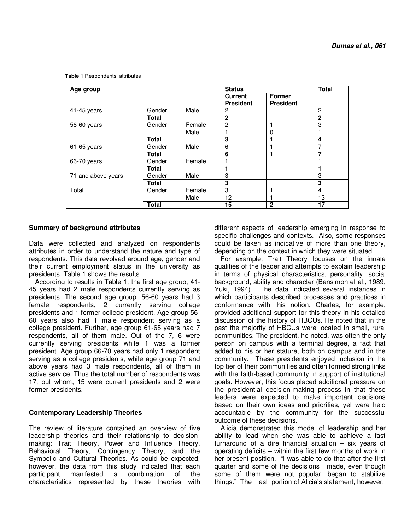**Table 1** Respondents' attributes

| Age group                 |              |        | <b>Status</b>    |                  | <b>Total</b>   |
|---------------------------|--------------|--------|------------------|------------------|----------------|
|                           |              |        | <b>Current</b>   | Former           |                |
|                           |              |        | <b>President</b> | <b>President</b> |                |
| $\overline{4}$ 1-45 years | Gender       | Male   | 2                |                  | $\overline{2}$ |
|                           | Total        |        | $\mathbf{2}$     |                  | $\mathbf{2}$   |
| 56-60 years               | Gender       | Female | $\overline{2}$   |                  | 3              |
|                           |              | Male   |                  | 0                |                |
|                           | <b>Total</b> |        | 3                | 1                | 4              |
| 61-65 years               | Gender       | Male   | 6                |                  | 7              |
|                           | <b>Total</b> |        | 6                | 1                | 7              |
| 66-70 years               | Gender       | Female |                  |                  |                |
|                           | <b>Total</b> |        |                  |                  |                |
| 71 and above years        | Gender       | Male   | 3                |                  | 3              |
|                           | <b>Total</b> |        | 3                |                  | 3              |
| Total                     | Gender       | Female | 3                |                  | 4              |
|                           |              | Male   | 12               | 1                | 13             |
|                           | <b>Total</b> |        | 15               | $\overline{2}$   | 17             |

#### **Summary of background attributes**

Data were collected and analyzed on respondents attributes in order to understand the nature and type of respondents. This data revolved around age, gender and their current employment status in the university as presidents. Table 1 shows the results.

According to results in Table 1, the first age group, 41- 45 years had 2 male respondents currently serving as presidents. The second age group, 56-60 years had 3 female respondents; 2 currently serving college presidents and 1 former college president. Age group 56- 60 years also had 1 male respondent serving as a college president. Further, age group 61-65 years had 7 respondents, all of them male. Out of the 7, 6 were currently serving presidents while 1 was a former president. Age group 66-70 years had only 1 respondent serving as a college presidents, while age group 71 and above years had 3 male respondents, all of them in active service. Thus the total number of respondents was 17, out whom, 15 were current presidents and 2 were former presidents.

#### **Contemporary Leadership Theories**

The review of literature contained an overview of five leadership theories and their relationship to decisionmaking: Trait Theory, Power and Influence Theory, Behavioral Theory, Contingency Theory, and the Symbolic and Cultural Theories. As could be expected, however, the data from this study indicated that each a combination characteristics represented by these theories with

different aspects of leadership emerging in response to specific challenges and contexts. Also, some responses could be taken as indicative of more than one theory, depending on the context in which they were situated.

For example, Trait Theory focuses on the innate qualities of the leader and attempts to explain leadership in terms of physical characteristics, personality, social background, ability and character (Bensimon et al., 1989; Yuki, 1994). The data indicated several instances in which participants described processes and practices in conformance with this notion. Charles, for example, provided additional support for this theory in his detailed discussion of the history of HBCUs. He noted that in the past the majority of HBCUs were located in small, rural communities. The president, he noted, was often the only person on campus with a terminal degree, a fact that added to his or her stature, both on campus and in the community. These presidents enjoyed inclusion in the top tier of their communities and often formed strong links with the faith-based community in support of institutional goals. However, this focus placed additional pressure on the presidential decision-making process in that these leaders were expected to make important decisions based on their own ideas and priorities, yet were held accountable by the community for the successful outcome of these decisions.

Alicia demonstrated this model of leadership and her ability to lead when she was able to achieve a fast turnaround of a dire financial situation – six years of operating deficits – within the first few months of work in her present position. "I was able to do that after the first quarter and some of the decisions I made, even though some of them were not popular, began to stabilize things." The last portion of Alicia's statement, however,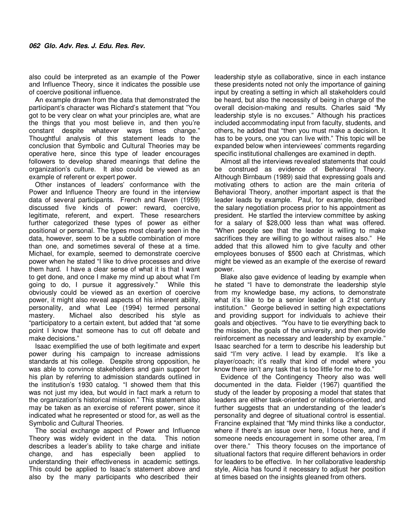also could be interpreted as an example of the Power and Influence Theory, since it indicates the possible use of coercive positional influence.

An example drawn from the data that demonstrated the participant's character was Richard's statement that "You got to be very clear on what your principles are, what are the things that you most believe in, and then you're constant despite whatever ways times change." Thoughtful analysis of this statement leads to the conclusion that Symbolic and Cultural Theories may be operative here, since this type of leader encourages followers to develop shared meanings that define the organization's culture. It also could be viewed as an example of referent or expert power.

Other instances of leaders' conformance with the Power and Influence Theory are found in the interview data of several participants. French and Raven (1959) discussed five kinds of power: reward, coercive, legitimate, referent, and expert. These researchers further categorized these types of power as either positional or personal. The types most clearly seen in the data, however, seem to be a subtle combination of more than one, and sometimes several of these at a time. Michael, for example, seemed to demonstrate coercive power when he stated "I like to drive processes and drive them hard. I have a clear sense of what it is that I want to get done, and once I make my mind up about what I'm going to do, I pursue it aggressively." While this obviously could be viewed as an exertion of coercive power, it might also reveal aspects of his inherent ability, personality, and what Lee (1994) termed personal mastery. Michael also described his style as "participatory to a certain extent, but added that "at some point I know that someone has to cut off debate and make decisions."

Isaac exemplified the use of both legitimate and expert power during his campaign to increase admissions standards at his college. Despite strong opposition, he was able to convince stakeholders and gain support for his plan by referring to admission standards outlined in the institution's 1930 catalog. "I showed them that this was not just my idea, but would in fact mark a return to the organization's historical mission." This statement also may be taken as an exercise of referent power, since it indicated what he represented or stood for, as well as the Symbolic and Cultural Theories.

The social exchange aspect of Power and Influence Theory was widely evident in the data. This notion describes a leader's ability to take charge and initiate change, and has especially been applied to understanding their effectiveness in academic settings. This could be applied to Isaac's statement above and also by the many participants who described their

leadership style as collaborative, since in each instance these presidents noted not only the importance of gaining input by creating a setting in which all stakeholders could be heard, but also the necessity of being in charge of the overall decision-making and results. Charles said "My leadership style is no excuses." Although his practices included accommodating input from faculty, students, and others, he added that "then you must make a decision. It has to be yours, one you can live with." This topic will be expanded below when interviewees' comments regarding specific institutional challenges are examined in depth.

Almost all the interviews revealed statements that could be construed as evidence of Behavioral Theory. Although Birnbaum (1989) said that expressing goals and motivating others to action are the main criteria of Behavioral Theory, another important aspect is that the leader leads by example. Paul, for example, described the salary negotiation process prior to his appointment as president. He startled the interview committee by asking for a salary of \$28,000 less than what was offered. "When people see that the leader is willing to make sacrifices they are willing to go without raises also." He added that this allowed him to give faculty and other employees bonuses of \$500 each at Christmas, which might be viewed as an example of the exercise of reward power.

Blake also gave evidence of leading by example when he stated "I have to demonstrate the leadership style from my knowledge base, my actions, to demonstrate what it's like to be a senior leader of a 21st century institution." George believed in setting high expectations and providing support for individuals to achieve their goals and objectives. "You have to tie everything back to the mission, the goals of the university, and then provide reinforcement as necessary and leadership by example." Isaac searched for a term to describe his leadership but said "I'm very active. I lead by example. It's like a player/coach; it's really that kind of model where you know there isn't any task that is too little for me to do."

Evidence of the Contingency Theory also was well documented in the data. Fielder (1967) quantified the study of the leader by proposing a model that states that leaders are either task-oriented or relations-oriented, and further suggests that an understanding of the leader's personality and degree of situational control is essential. Francine explained that "My mind thinks like a conductor, where if there's an issue over here, I focus here, and if someone needs encouragement in some other area, I'm over there." This theory focuses on the importance of situational factors that require different behaviors in order for leaders to be effective. In her collaborative leadership style, Alicia has found it necessary to adjust her position at times based on the insights gleaned from others.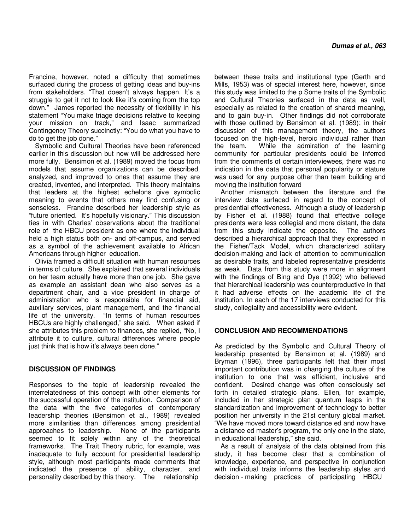Francine, however, noted a difficulty that sometimes surfaced during the process of getting ideas and buy-ins from stakeholders. "That doesn't always happen. It's a struggle to get it not to look like it's coming from the top down." James reported the necessity of flexibility in his statement "You make triage decisions relative to keeping your mission on track," and Isaac summarized Contingency Theory succinctly: "You do what you have to do to get the job done."

Symbolic and Cultural Theories have been referenced earlier in this discussion but now will be addressed here more fully. Bensimon et al. (1989) moved the focus from models that assume organizations can be described, analyzed, and improved to ones that assume they are created, invented, and interpreted. This theory maintains that leaders at the highest echelons give symbolic meaning to events that others may find confusing or senseless. Francine described her leadership style as "future oriented. It's hopefully visionary." This discussion ties in with Charles' observations about the traditional role of the HBCU president as one where the individual held a high status both on- and off-campus, and served as a symbol of the achievement available to African Americans through higher education.

Olivia framed a difficult situation with human resources in terms of culture. She explained that several individuals on her team actually have more than one job. She gave as example an assistant dean who also serves as a department chair, and a vice president in charge of administration who is responsible for financial aid, auxiliary services, plant management, and the financial life of the university. "In terms of human resources HBCUs are highly challenged," she said. When asked if she attributes this problem to finances, she replied, "No, I attribute it to culture, cultural differences where people just think that is how it's always been done."

#### **DISCUSSION OF FINDINGS**

Responses to the topic of leadership revealed the interrelatedness of this concept with other elements for the successful operation of the institution. Comparison of the data with the five categories of contemporary leadership theories (Bensimon et al., 1989) revealed more similarities than differences among presidential approaches to leadership. None of the participants seemed to fit solely within any of the theoretical frameworks. The Trait Theory rubric, for example, was inadequate to fully account for presidential leadership style, although most participants made comments that indicated the presence of ability, character, and personality described by this theory. The relationship

between these traits and institutional type (Gerth and Mills, 1953) was of special interest here, however, since this study was limited to the p Some traits of the Symbolic and Cultural Theories surfaced in the data as well, especially as related to the creation of shared meaning, and to gain buy-in. Other findings did not corroborate with those outlined by Bensimon et al. (1989); in their discussion of this management theory, the authors focused on the high-level, heroic individual rather than the team. While the admiration of the learning community for particular presidents could be inferred from the comments of certain interviewees, there was no indication in the data that personal popularity or stature was used for any purpose other than team building and moving the institution forward

Another mismatch between the literature and the interview data surfaced in regard to the concept of presidential effectiveness. Although a study of leadership by Fisher et al. (1988) found that effective college presidents were less collegial and more distant, the data from this study indicate the opposite. The authors described a hierarchical approach that they expressed in the Fisher/Tack Model, which characterized solitary decision-making and lack of attention to communication as desirable traits, and labeled representative presidents as weak. Data from this study were more in alignment with the findings of Bing and Dye (1992) who believed that hierarchical leadership was counterproductive in that it had adverse effects on the academic life of the institution. In each of the 17 interviews conducted for this study, collegiality and accessibility were evident.

#### **CONCLUSION AND RECOMMENDATIONS**

As predicted by the Symbolic and Cultural Theory of leadership presented by Bensimon et al. (1989) and Bryman (1996), three participants felt that their most important contribution was in changing the culture of the institution to one that was efficient, inclusive and confident. Desired change was often consciously set forth in detailed strategic plans. Ellen, for example, included in her strategic plan quantum leaps in the standardization and improvement of technology to better position her university in the 21st century global market. "We have moved more toward distance ed and now have a distance ed master's program, the only one in the state, in educational leadership," she said.

As a result of analysis of the data obtained from this study, it has become clear that a combination of knowledge, experience, and perspective in conjunction with individual traits informs the leadership styles and decision - making practices of participating HBCU